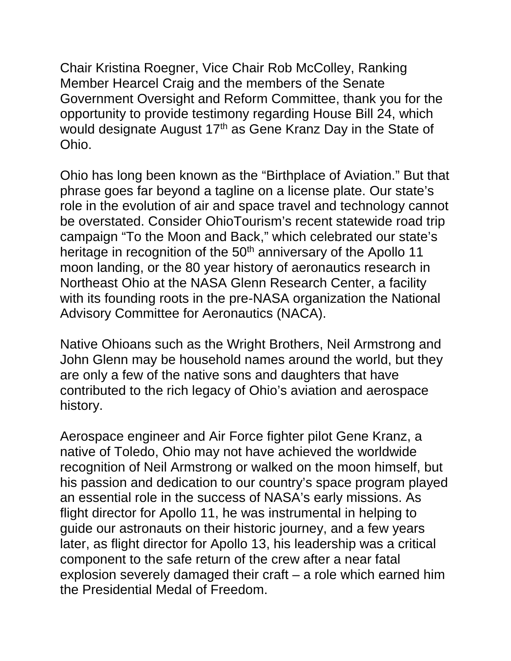Chair Kristina Roegner, Vice Chair Rob McColley, Ranking Member Hearcel Craig and the members of the Senate Government Oversight and Reform Committee, thank you for the opportunity to provide testimony regarding House Bill 24, which would designate August 17<sup>th</sup> as Gene Kranz Day in the State of Ohio.

Ohio has long been known as the "Birthplace of Aviation." But that phrase goes far beyond a tagline on a license plate. Our state's role in the evolution of air and space travel and technology cannot be overstated. Consider OhioTourism's recent statewide road trip campaign "To the Moon and Back," which celebrated our state's heritage in recognition of the 50<sup>th</sup> anniversary of the Apollo 11 moon landing, or the 80 year history of aeronautics research in Northeast Ohio at the NASA Glenn Research Center, a facility with its founding roots in the pre-NASA organization the National Advisory Committee for Aeronautics (NACA).

Native Ohioans such as the Wright Brothers, Neil Armstrong and John Glenn may be household names around the world, but they are only a few of the native sons and daughters that have contributed to the rich legacy of Ohio's aviation and aerospace history.

Aerospace engineer and Air Force fighter pilot Gene Kranz, a native of Toledo, Ohio may not have achieved the worldwide recognition of Neil Armstrong or walked on the moon himself, but his passion and dedication to our country's space program played an essential role in the success of NASA's early missions. As flight director for Apollo 11, he was instrumental in helping to guide our astronauts on their historic journey, and a few years later, as flight director for Apollo 13, his leadership was a critical component to the safe return of the crew after a near fatal explosion severely damaged their craft – a role which earned him the Presidential Medal of Freedom.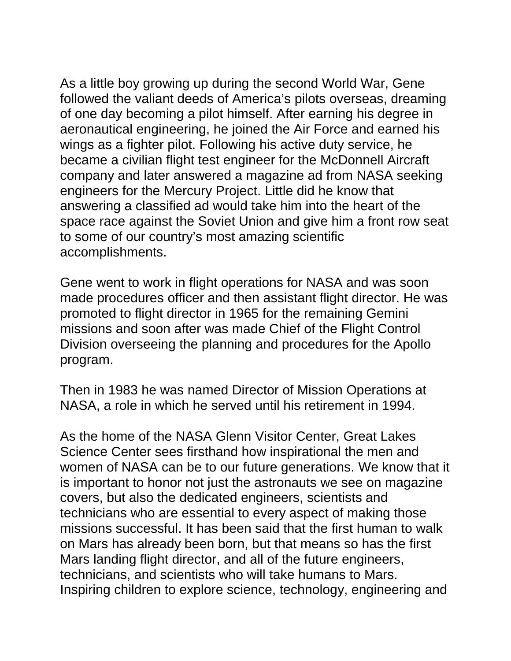As a little boy growing up during the second World War, Gene followed the valiant deeds of America's pilots overseas, dreaming of one day becoming a pilot himself. After earning his degree in aeronautical engineering, he joined the Air Force and earned his wings as a fighter pilot. Following his active duty service, he became a civilian flight test engineer for the McDonnell Aircraft company and later answered a magazine ad from NASA seeking engineers for the Mercury Project. Little did he know that answering a classified ad would take him into the heart of the space race against the Soviet Union and give him a front row seat to some of our country's most amazing scientific accomplishments.

Gene went to work in flight operations for NASA and was soon made procedures officer and then assistant flight director. He was promoted to flight director in 1965 for the remaining Gemini missions and soon after was made Chief of the Flight Control Division overseeing the planning and procedures for the Apollo program.

Then in 1983 he was named Director of Mission Operations at NASA, a role in which he served until his retirement in 1994.

As the home of the NASA Glenn Visitor Center, Great Lakes Science Center sees firsthand how inspirational the men and women of NASA can be to our future generations. We know that it is important to honor not just the astronauts we see on magazine covers, but also the dedicated engineers, scientists and technicians who are essential to every aspect of making those missions successful. It has been said that the first human to walk on Mars has already been born, but that means so has the first Mars landing flight director, and all of the future engineers, technicians, and scientists who will take humans to Mars. Inspiring children to explore science, technology, engineering and